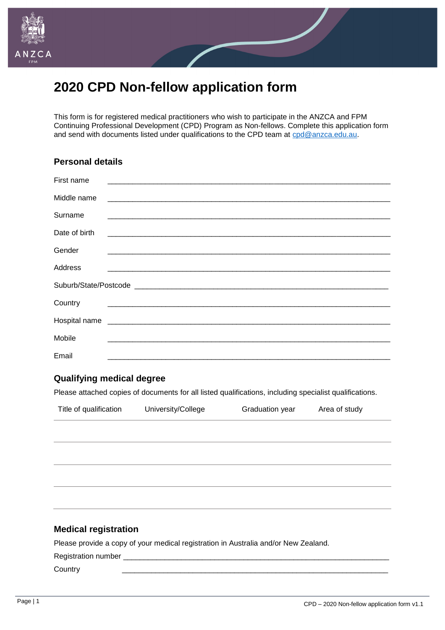

# **2020 CPD Non-fellow application form**

This form is for registered medical practitioners who wish to participate in the ANZCA and FPM Continuing Professional Development (CPD) Program as Non-fellows. Complete this application form and send with documents listed under qualifications to the CPD team at [cpd@anzca.edu.au.](mailto:cpd@anzca.edu.au)

## **Personal details**

| First name                                                                                                                          |
|-------------------------------------------------------------------------------------------------------------------------------------|
| Middle name<br><u> 1980 - Jan Barat, martin da basar da basa da basa da basa da basa da basa da basa da basa da basa da basa da</u> |
| Surname<br>and the state of the state of the state of the state of the state of the state of the state of the state of the          |
| Date of birth                                                                                                                       |
| Gender                                                                                                                              |
| Address                                                                                                                             |
|                                                                                                                                     |
| Country                                                                                                                             |
|                                                                                                                                     |
| Mobile                                                                                                                              |
| Email                                                                                                                               |
|                                                                                                                                     |

#### **Qualifying medical degree**

Please attached copies of documents for all listed qualifications, including specialist qualifications.

| Title of qualification | University/College | Graduation year | Area of study |  |
|------------------------|--------------------|-----------------|---------------|--|
|                        |                    |                 |               |  |
|                        |                    |                 |               |  |
|                        |                    |                 |               |  |

### **Medical registration**

Please provide a copy of your medical registration in Australia and/or New Zealand.

Registration number \_\_\_\_\_\_\_\_\_\_\_\_\_\_\_\_\_\_\_\_\_\_\_\_\_\_\_\_\_\_\_\_\_\_\_\_\_\_\_\_\_\_\_\_\_\_\_\_\_\_\_\_\_\_\_\_\_\_\_\_\_\_\_\_

Country \_\_\_\_\_\_\_\_\_\_\_\_\_\_\_\_\_\_\_\_\_\_\_\_\_\_\_\_\_\_\_\_\_\_\_\_\_\_\_\_\_\_\_\_\_\_\_\_\_\_\_\_\_\_\_\_\_\_\_\_\_\_\_\_